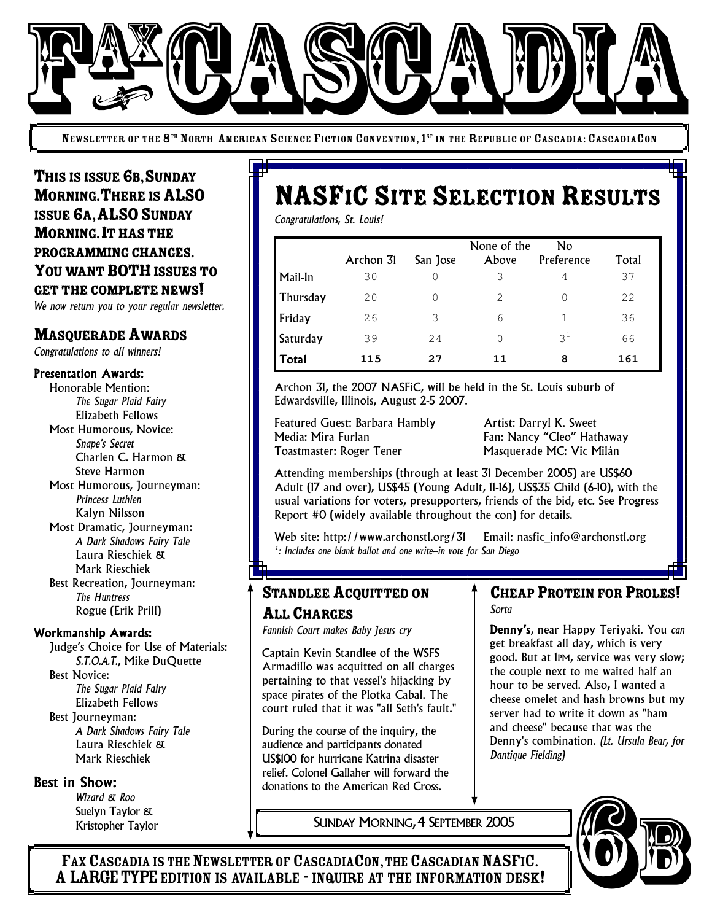

NEWSLETTER OF THE 8<sup>th</sup> North American Science Fiction Convention, 1<sup>st</sup> in the Republic of Cascadia: CascadiaCon

THIS IS ISSUE 6B, SUNDAY MORNING. THERE IS ALSO ISSUE GA, ALSO SUNDAY **MORNING. IT HAS THE** PROGRAMMING CHANGES. YOU WANT BOTH ISSUES TO GET THE COMPLETE NEWS!

*We now return you to your regular newsletter.*

## **MASQUERADE AWARDS**

*Congratulations to all winners!*

#### Presentation Awards:

Honorable Mention: *The Sugar Plaid Fairy* Elizabeth Fellows Most Humorous, Novice: *Snape's Secret* Charlen C. Harmon & Steve Harmon Most Humorous, Journeyman: *Princess Luthien* Kalyn Nilsson Most Dramatic, Journeyman: *A Dark Shadows Fairy Tale* Laura Rieschiek & Mark Rieschiek Best Recreation, Journeyman: *The Huntress* Rogue (Erik Prill)

#### Workmanship Awards:

Judge's Choice for Use of Materials: *S.T.O.A.T.*, Mike DuQuette Best Novice: *The Sugar Plaid Fairy* Elizabeth Fellows Best Journeyman: *A Dark Shadows Fairy Tale* Laura Rieschiek & Mark Rieschiek

#### Best in Show:

*Wizard & Roo* Suelyn Taylor & Kristopher Taylor

# **NASFIC SITE SELECTION RESULTS**

*Congratulations, St. Louis!*

|              | Archon 31 | San Jose | None of the<br>Above | No<br>Preference | Total |
|--------------|-----------|----------|----------------------|------------------|-------|
| Mail-In      | 30        |          | 3                    | 4                | 37    |
| Thursday     | 20        |          | 2                    | O                | 22    |
| Friday       | 26        | 3        | 6                    |                  | 36    |
| Saturday     | 39        | 24       | 0                    | $3^{\perp}$      | 66    |
| <b>Total</b> | 115       | 27       | 11                   | 8                | 161   |

Archon 31, the 2007 NASFiC, will be held in the St. Louis suburb of Edwardsville, Illinois, August 2-5 2007.

Featured Guest: Barbara Hambly **Artist: Darryl K. Sweet** Media: Mira Furlan Fan: Nancy "Cleo" Hathaway Toastmaster: Roger Tener Masquerade MC: Vic Milán

Attending memberships (through at least 31 December 2005) are US\$60 Adult (17 and over), US\$45 (Young Adult, 11-16), US\$35 Child (6-10), with the usual variations for voters, presupporters, friends of the bid, etc. See Progress Report #0 (widely available throughout the con) for details.

Web site: http://www.archonstl.org/31 Email: nasfic\_info@archonstl.org *1 : Includes one blank ballot and one write-in vote for San Diego*

# STANDLEE ACQUITTED ON

### ALL CHARGES

*Fannish Court makes Baby Jesus cry*

Captain Kevin Standlee of the WSFS Armadillo was acquitted on all charges pertaining to that vessel's hijacking by space pirates of the Plotka Cabal. The court ruled that it was "all Seth's fault."

During the course of the inquiry, the audience and participants donated US\$100 for hurricane Katrina disaster relief. Colonel Gallaher will forward the donations to the American Red Cross.

#### **CHEAP PROTEIN FOR PROLES!** *Sorta*

Denny's, near Happy Teriyaki. You *can* get breakfast all day, which is very good. But at 1PM, service was very slow; the couple next to me waited half an hour to be served. Also, I wanted a cheese omelet and hash browns but my server had to write it down as "ham and cheese" because that was the Denny's combination. *(Lt. Ursula Bear, for Dantique Fielding)*

SUNDAY MORNING,4 SEPTEMBER 2005



FAX CASCADIA IS THE NEWSLETTER OF CASCADIACON, THE CASCADIAN NASFIC. A LARGE TYPE EDITION IS AVAILABLE - INQUIRE AT THE INFORMATION DESK!